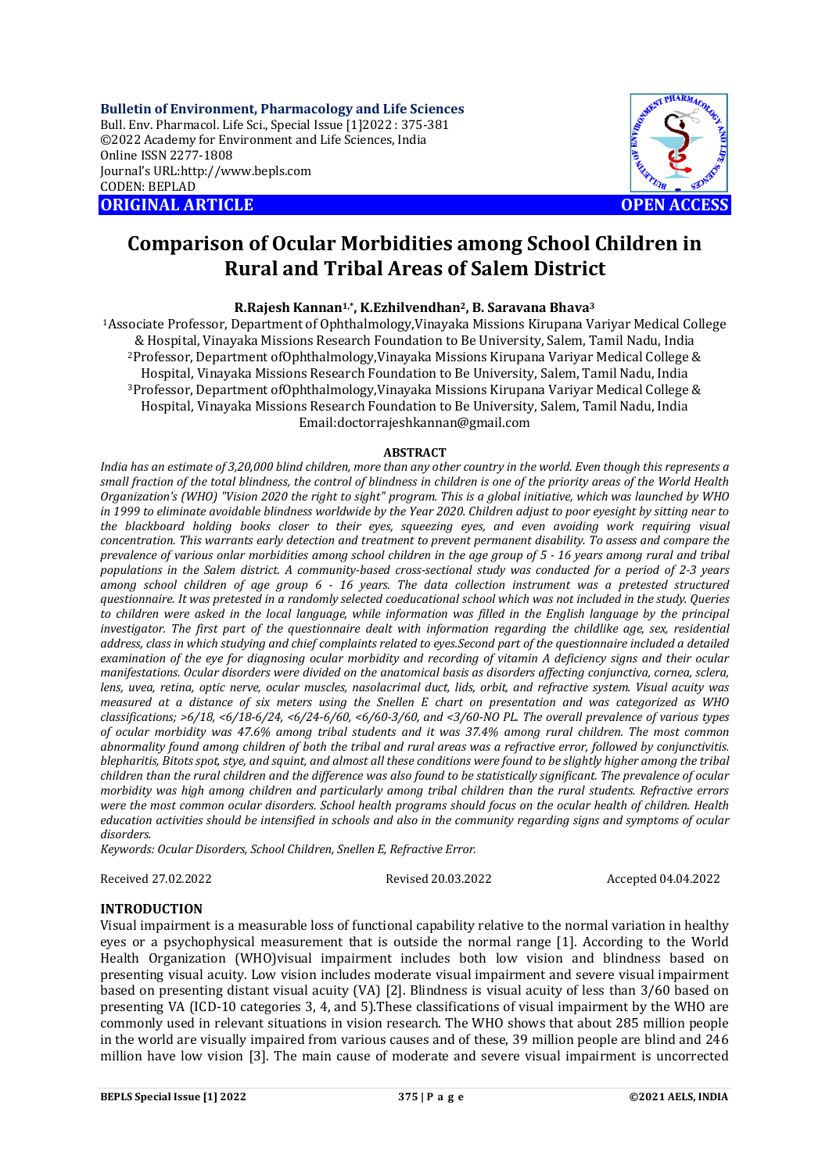**Bulletin of Environment, Pharmacology and Life Sciences** Bull. Env. Pharmacol. Life Sci., Special Issue [1]2022 : 375-381 ©2022 Academy for Environment and Life Sciences, India Online ISSN 2277-1808 Journal's URL:<http://www.bepls.com> CODEN: BEPLAD **ORIGINAL ARTICLE OPEN ACCESS** 



# **Comparison of Ocular Morbidities among School Children in Rural and Tribal Areas of Salem District**

# **R.Rajesh Kannan1,\* , K.Ezhilvendhan2, B. Saravana Bhava<sup>3</sup>**

<sup>1</sup>Associate Professor, Department of Ophthalmology,Vinayaka Missions Kirupana Variyar Medical College & Hospital, Vinayaka Missions Research Foundation to Be University, Salem, Tamil Nadu, India <sup>2</sup>Professor, Department ofOphthalmology,Vinayaka Missions Kirupana Variyar Medical College & Hospital, Vinayaka Missions Research Foundation to Be University, Salem, Tamil Nadu, India <sup>3</sup>Professor, Department ofOphthalmology,Vinayaka Missions Kirupana Variyar Medical College & Hospital, Vinayaka Missions Research Foundation to Be University, Salem, Tamil Nadu, India [Email:doctorrajeshkannan@gmail.com](mailto:Email:doctorrajeshkannan@gmail.com)

#### **ABSTRACT**

*India has an estimate of 3,20,000 blind children, more than any other country in the world. Even though this represents a small fraction of the total blindness, the control of blindness in children is one of the priority areas of the World Health Organization's (WHO) "Vision 2020 the right to sight" program. This is a global initiative, which was launched by WHO in 1999 to eliminate avoidable blindness worldwide by the Year 2020. Children adjust to poor eyesight by sitting near to the blackboard holding books closer to their eyes, squeezing eyes, and even avoiding work requiring visual concentration. This warrants early detection and treatment to prevent permanent disability. To assess and compare the prevalence of various onlar morbidities among school children in the age group of 5 - 16 years among rural and tribal populations in the Salem district. A community-based cross-sectional study was conducted for a period of 2-3 years among school children of age group 6 - 16 years. The data collection instrument was a pretested structured questionnaire. It was pretested in a randomly selected coeducational school which was not included in the study. Queries*  to children were asked in the local language, while information was filled in the English language by the principal *investigator. The first part of the questionnaire dealt with information regarding the childlike age, sex, residential address, class in which studying and chief complaints related to eyes.Second part of the questionnaire included a detailed examination of the eye for diagnosing ocular morbidity and recording of vitamin A deficiency signs and their ocular manifestations. Ocular disorders were divided on the anatomical basis as disorders affecting conjunctiva, cornea, sclera, lens, uvea, retina, optic nerve, ocular muscles, nasolacrimal duct, lids, orbit, and refractive system. Visual acuity was measured at a distance of six meters using the Snellen E chart on presentation and was categorized as WHO classifications; >6/18, <6/18-6/24, <6/24-6/60, <6/60-3/60, and <3/60-NO PL. The overall prevalence of various types of ocular morbidity was 47.6% among tribal students and it was 37.4% among rural children. The most common abnormality found among children of both the tribal and rural areas was a refractive error, followed by conjunctivitis. blepharitis, Bitots spot, stye, and squint, and almost all these conditions were found to be slightly higher among the tribal children than the rural children and the difference was also found to be statistically significant. The prevalence of ocular morbidity was high among children and particularly among tribal children than the rural students. Refractive errors were the most common ocular disorders. School health programs should focus on the ocular health of children. Health education activities should be intensified in schools and also in the community regarding signs and symptoms of ocular disorders.*

*Keywords: Ocular Disorders, School Children, Snellen E, Refractive Error.*

Received 27.02.2022 Revised 20.03.2022 Accepted 04.04.2022

# **INTRODUCTION**

Visual impairment is a measurable loss of functional capability relative to the normal variation in healthy eyes or a psychophysical measurement that is outside the normal range [1]. According to the World Health Organization (WHO)visual impairment includes both low vision and blindness based on presenting visual acuity. Low vision includes moderate visual impairment and severe visual impairment based on presenting distant visual acuity (VA) [2]. Blindness is visual acuity of less than 3/60 based on presenting VA (ICD-10 categories 3, 4, and 5).These classifications of visual impairment by the WHO are commonly used in relevant situations in vision research. The WHO shows that about 285 million people in the world are visually impaired from various causes and of these, 39 million people are blind and 246 million have low vision [3]. The main cause of moderate and severe visual impairment is uncorrected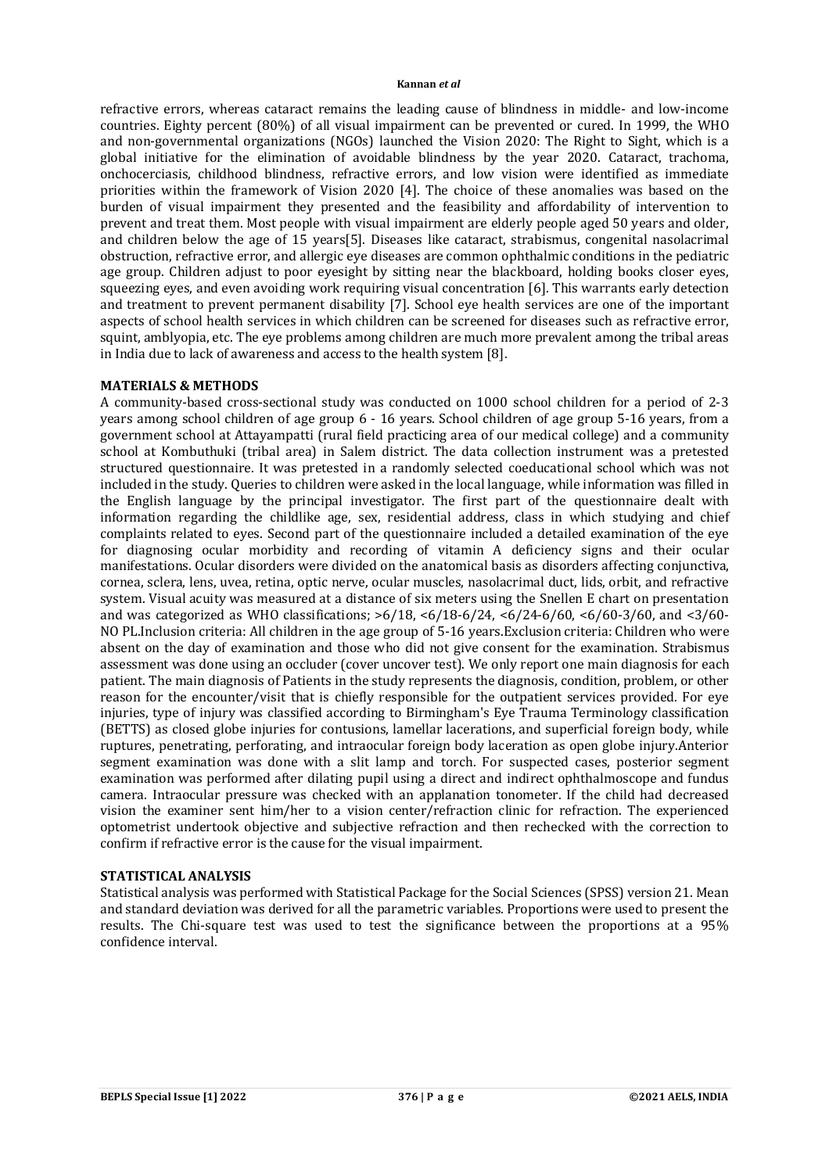refractive errors, whereas cataract remains the leading cause of blindness in middle- and low-income countries. Eighty percent (80%) of all visual impairment can be prevented or cured. In 1999, the WHO and non-governmental organizations (NGOs) launched the Vision 2020: The Right to Sight, which is a global initiative for the elimination of avoidable blindness by the year 2020. Cataract, trachoma, onchocerciasis, childhood blindness, refractive errors, and low vision were identified as immediate priorities within the framework of Vision 2020 [4]. The choice of these anomalies was based on the burden of visual impairment they presented and the feasibility and affordability of intervention to prevent and treat them. Most people with visual impairment are elderly people aged 50 years and older, and children below the age of 15 years[5]. Diseases like cataract, strabismus, congenital nasolacrimal obstruction, refractive error, and allergic eye diseases are common ophthalmic conditions in the pediatric age group. Children adjust to poor eyesight by sitting near the blackboard, holding books closer eyes, squeezing eyes, and even avoiding work requiring visual concentration [6]. This warrants early detection and treatment to prevent permanent disability [7]. School eye health services are one of the important aspects of school health services in which children can be screened for diseases such as refractive error, squint, amblyopia, etc. The eye problems among children are much more prevalent among the tribal areas in India due to lack of awareness and access to the health system [8].

# **MATERIALS & METHODS**

A community-based cross-sectional study was conducted on 1000 school children for a period of 2-3 years among school children of age group 6 - 16 years. School children of age group 5-16 years, from a government school at Attayampatti (rural field practicing area of our medical college) and a community school at Kombuthuki (tribal area) in Salem district. The data collection instrument was a pretested structured questionnaire. It was pretested in a randomly selected coeducational school which was not included in the study. Queries to children were asked in the local language, while information was filled in the English language by the principal investigator. The first part of the questionnaire dealt with information regarding the childlike age, sex, residential address, class in which studying and chief complaints related to eyes. Second part of the questionnaire included a detailed examination of the eye for diagnosing ocular morbidity and recording of vitamin A deficiency signs and their ocular manifestations. Ocular disorders were divided on the anatomical basis as disorders affecting conjunctiva, cornea, sclera, lens, uvea, retina, optic nerve, ocular muscles, nasolacrimal duct, lids, orbit, and refractive system. Visual acuity was measured at a distance of six meters using the Snellen E chart on presentation and was categorized as WHO classifications; >6/18, <6/18-6/24, <6/24-6/60, <6/60-3/60, and <3/60- NO PL.Inclusion criteria: All children in the age group of 5-16 years.Exclusion criteria: Children who were absent on the day of examination and those who did not give consent for the examination. Strabismus assessment was done using an occluder (cover uncover test). We only report one main diagnosis for each patient. The main diagnosis of Patients in the study represents the diagnosis, condition, problem, or other reason for the encounter/visit that is chiefly responsible for the outpatient services provided. For eye injuries, type of injury was classified according to Birmingham's Eye Trauma Terminology classification (BETTS) as closed globe injuries for contusions, lamellar lacerations, and superficial foreign body, while ruptures, penetrating, perforating, and intraocular foreign body laceration as open globe injury.Anterior segment examination was done with a slit lamp and torch. For suspected cases, posterior segment examination was performed after dilating pupil using a direct and indirect ophthalmoscope and fundus camera. Intraocular pressure was checked with an applanation tonometer. If the child had decreased vision the examiner sent him/her to a vision center/refraction clinic for refraction. The experienced optometrist undertook objective and subjective refraction and then rechecked with the correction to confirm if refractive error is the cause for the visual impairment.

# **STATISTICAL ANALYSIS**

Statistical analysis was performed with Statistical Package for the Social Sciences (SPSS) version 21. Mean and standard deviation was derived for all the parametric variables. Proportions were used to present the results. The Chi-square test was used to test the significance between the proportions at a 95% confidence interval.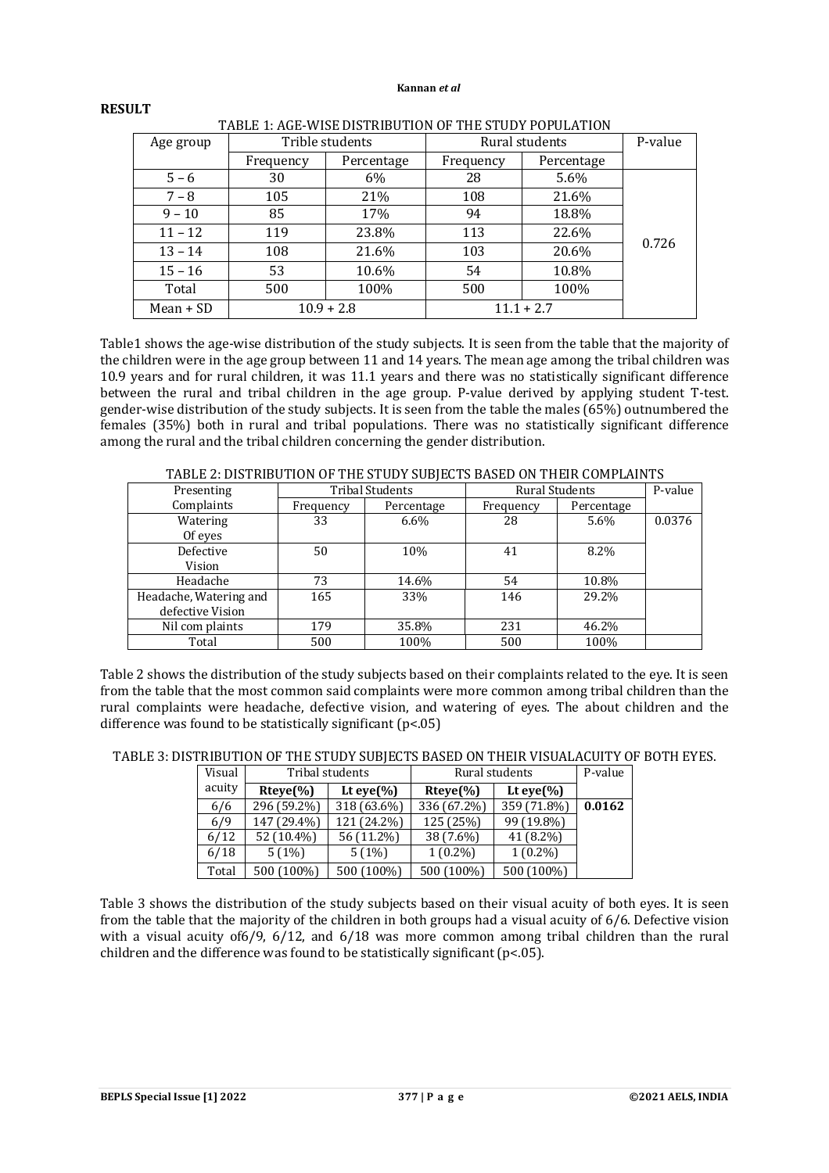| TADLE 1. AGE-WISE DISTRIBUTION OF THE STUDT FOFULATION |           |                 |           |                |       |  |  |
|--------------------------------------------------------|-----------|-----------------|-----------|----------------|-------|--|--|
| Age group                                              |           | Trible students |           | Rural students |       |  |  |
|                                                        | Frequency | Percentage      | Frequency | Percentage     |       |  |  |
| $5 - 6$                                                | 30        | 6%              | 28        | 5.6%           |       |  |  |
| $7 - 8$                                                | 105       | 21%             | 108       | 21.6%          |       |  |  |
| $9 - 10$                                               | 85        | 17%             | 94        | 18.8%          |       |  |  |
| $11 - 12$                                              | 119       | 23.8%           |           | 22.6%          |       |  |  |
| $13 - 14$                                              | 108       | 21.6%           | 103       | 20.6%          | 0.726 |  |  |
| $15 - 16$                                              | 53        | 10.6%           | 54        | 10.8%          |       |  |  |
| Total                                                  | 500       | 100%            | 500       | 100%           |       |  |  |
| $Mean + SD$                                            |           | $10.9 + 2.8$    |           | $11.1 + 2.7$   |       |  |  |

# TABLE 1: AGE-WISE DISTRIBUTION OF THE STUDY POPULATION

Table1 shows the age-wise distribution of the study subjects. It is seen from the table that the majority of the children were in the age group between 11 and 14 years. The mean age among the tribal children was 10.9 years and for rural children, it was 11.1 years and there was no statistically significant difference between the rural and tribal children in the age group. P-value derived by applying student T-test. gender-wise distribution of the study subjects. It is seen from the table the males (65%) outnumbered the females (35%) both in rural and tribal populations. There was no statistically significant difference among the rural and the tribal children concerning the gender distribution.

| 111000 2. DISTRIDOTION OF THE STODT SODJEGTS DRISED ON THEIR GOPH BRINTS |           |                        |                |            |        |  |  |  |
|--------------------------------------------------------------------------|-----------|------------------------|----------------|------------|--------|--|--|--|
| Presenting                                                               |           | <b>Tribal Students</b> | Rural Students | P-value    |        |  |  |  |
| Complaints                                                               | Frequency | Percentage             | Frequency      | Percentage |        |  |  |  |
| Watering                                                                 | 33        | $6.6\%$                | 28             | 5.6%       | 0.0376 |  |  |  |
| Of eyes                                                                  |           |                        |                |            |        |  |  |  |
| Defective                                                                | 50        | 10%                    | 41             | 8.2%       |        |  |  |  |
| Vision                                                                   |           |                        |                |            |        |  |  |  |
| Headache                                                                 | 73        | 14.6%                  | 54             | 10.8%      |        |  |  |  |
| Headache, Watering and                                                   | 165       | 33%                    | 146            | 29.2%      |        |  |  |  |
| defective Vision                                                         |           |                        |                |            |        |  |  |  |
| Nil com plaints                                                          | 179       | 35.8%                  | 231            | 46.2%      |        |  |  |  |
| Total                                                                    | 500       | 100%                   | 500            | 100%       |        |  |  |  |

TABLE 2: DISTRIBUTION OF THE STUDY SUBJECTS BASED ON THEIR COMPLAINTS

Table 2 shows the distribution of the study subjects based on their complaints related to the eye. It is seen from the table that the most common said complaints were more common among tribal children than the rural complaints were headache, defective vision, and watering of eyes. The about children and the difference was found to be statistically significant (p<.05)

| TABLE 3: DISTRIBUTION OF THE STUDY SUBJECTS BASED ON THEIR VISUALACUITY OF BOTH EYES. |  |
|---------------------------------------------------------------------------------------|--|
|---------------------------------------------------------------------------------------|--|

| Visual |             | Tribal students | Rural students | P-value        |        |
|--------|-------------|-----------------|----------------|----------------|--------|
| acuity | $Rteye\%$   | Lt eye $(\% )$  | $Rteve\%$      | Lt eye $(\% )$ |        |
| 6/6    | 296 (59.2%) | 318 (63.6%)     | 336 (67.2%)    | 359 (71.8%)    | 0.0162 |
| 6/9    | 147 (29.4%) | 121 (24.2%)     | 125 (25%)      | 99 (19.8%)     |        |
| 6/12   | 52 (10.4%)  | 56 (11.2%)      | 38 (7.6%)      | 41 (8.2%)      |        |
| 6/18   | 5(1%)       | 5(1%)           | $1(0.2\%)$     | $1(0.2\%)$     |        |
| Total  | 500 (100%)  | 500 (100%)      | 500 (100%)     | 500 (100%)     |        |

Table 3 shows the distribution of the study subjects based on their visual acuity of both eyes. It is seen from the table that the majority of the children in both groups had a visual acuity of 6/6. Defective vision with a visual acuity of 6/9, 6/12, and 6/18 was more common among tribal children than the rural children and the difference was found to be statistically significant  $(p<0.05)$ .

**RESULT**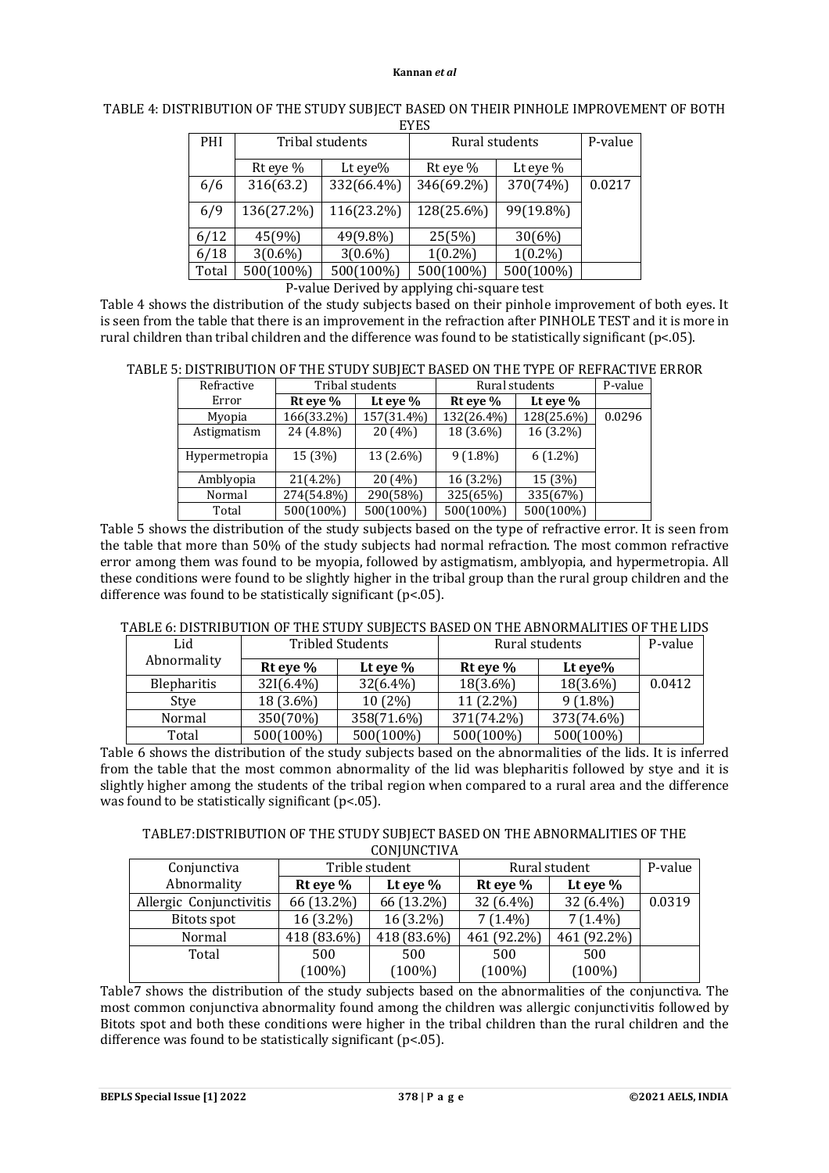| 31 تا تا |            |                 |                |            |         |  |  |  |
|----------|------------|-----------------|----------------|------------|---------|--|--|--|
| PHI      |            | Tribal students | Rural students |            | P-value |  |  |  |
|          | Rt eye %   | Lt eye $%$      | Rt eye %       | Lt eye %   |         |  |  |  |
| 6/6      | 316(63.2)  | 332(66.4%)      | 346(69.2%)     | 370(74%)   | 0.0217  |  |  |  |
| 6/9      | 136(27.2%) | 116(23.2%)      | 128(25.6%)     | 99(19.8%)  |         |  |  |  |
| 6/12     | 45(9%)     | 49(9.8%)        | 25(5%)         | 30(6%)     |         |  |  |  |
| 6/18     | $3(0.6\%)$ | $3(0.6\%)$      | $1(0.2\%)$     | $1(0.2\%)$ |         |  |  |  |
| Total    | 500(100%)  | 500(100%)       | 500(100%)      | 500(100%)  |         |  |  |  |

TABLE 4: DISTRIBUTION OF THE STUDY SUBJECT BASED ON THEIR PINHOLE IMPROVEMENT OF BOTH EYES

P-value Derived by applying chi-square test

Table 4 shows the distribution of the study subjects based on their pinhole improvement of both eyes. It is seen from the table that there is an improvement in the refraction after PINHOLE TEST and it is more in rural children than tribal children and the difference was found to be statistically significant (p<.05).

|  |  | TABLE 5: DISTRIBUTION OF THE STUDY SUBIECT BASED ON THE TYPE OF REFRACTIVE ERROR |
|--|--|----------------------------------------------------------------------------------|
|  |  |                                                                                  |
|  |  |                                                                                  |

| Refractive    |              | Tribal students | Rural students | P-value    |        |
|---------------|--------------|-----------------|----------------|------------|--------|
| Error         | $Rt$ eye $%$ | Lt eye $%$      | Rt eye %       | Lt eye $%$ |        |
| Myopia        | 166(33.2%)   | 157(31.4%)      | 132(26.4%)     | 128(25.6%) | 0.0296 |
| Astigmatism   | 24 (4.8%)    | 20(4%)          | 18 (3.6%)      | 16 (3.2%)  |        |
| Hypermetropia | 15(3%)       | 13 (2.6%)       | $9(1.8\%)$     | $6(1.2\%)$ |        |
| Amblyopia     | $21(4.2\%)$  | 20(4%)          | 16 (3.2%)      | 15 (3%)    |        |
| Normal        | 274(54.8%)   | 290(58%)        | 325(65%)       | 335(67%)   |        |
| Total         | 500(100%)    | 500(100%)       | 500(100%)      | 500(100%)  |        |

Table 5 shows the distribution of the study subjects based on the type of refractive error. It is seen from the table that more than 50% of the study subjects had normal refraction. The most common refractive error among them was found to be myopia, followed by astigmatism, amblyopia, and hypermetropia. All these conditions were found to be slightly higher in the tribal group than the rural group children and the difference was found to be statistically significant  $(p<0.05)$ .

# TABLE 6: DISTRIBUTION OF THE STUDY SUBJECTS BASED ON THE ABNORMALITIES OF THE LIDS

| Lid         |               | <b>Tribled Students</b> | Rural students | P-value    |        |
|-------------|---------------|-------------------------|----------------|------------|--------|
| Abnormality | $Rt$ eye $\%$ | Lt eve $\%$             | Rt eye $%$     | Lt eye $%$ |        |
| Blepharitis | $32I(6.4\%)$  | $32(6.4\%)$             | 18(3.6%)       | 18(3.6%)   | 0.0412 |
| Stye        | 18 (3.6%)     | 10(2%)                  | 11 (2.2%)      | $9(1.8\%)$ |        |
| Normal      | 350(70%)      | 358(71.6%)              | 371(74.2%)     | 373(74.6%) |        |
| Total       | 500(100%)     | 500(100%)               | 500(100%)      | 500(100%)  |        |

Table 6 shows the distribution of the study subjects based on the abnormalities of the lids. It is inferred from the table that the most common abnormality of the lid was blepharitis followed by stye and it is slightly higher among the students of the tribal region when compared to a rural area and the difference was found to be statistically significant (p<.05).

TABLE7:DISTRIBUTION OF THE STUDY SUBJECT BASED ON THE ABNORMALITIES OF THE **CONJUNCTIVA** 

| Conjunctiva             |             | Trible student | Rural student | P-value     |        |
|-------------------------|-------------|----------------|---------------|-------------|--------|
| Abnormality             | Rt eye $\%$ | Lt eye $\%$    | Rt eye $%$    | Lt eye $\%$ |        |
| Allergic Conjunctivitis | 66 (13.2%)  | 66 (13.2%)     | $32(6.4\%)$   | $32(6.4\%)$ | 0.0319 |
| Bitots spot             | $16(3.2\%)$ | $16(3.2\%)$    | $7(1.4\%)$    | $7(1.4\%)$  |        |
| Normal                  | 418 (83.6%) | 418 (83.6%)    | 461 (92.2%)   | 461 (92.2%) |        |
| Total                   | 500         | 500            | 500           | 500         |        |
|                         | $(100\%)$   | $(100\%)$      | $(100\%)$     | $(100\%)$   |        |

Table7 shows the distribution of the study subjects based on the abnormalities of the conjunctiva. The most common conjunctiva abnormality found among the children was allergic conjunctivitis followed by Bitots spot and both these conditions were higher in the tribal children than the rural children and the difference was found to be statistically significant (p<.05).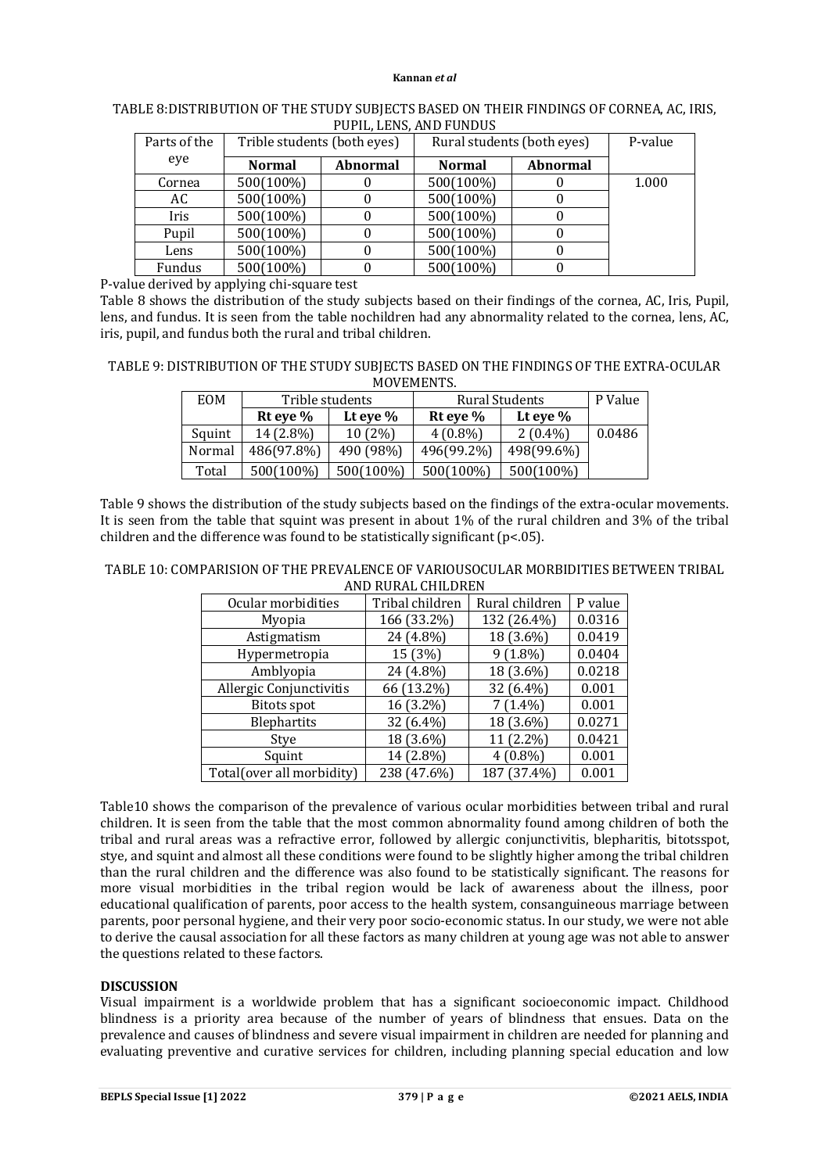|                         |  | TABLE 8:DISTRIBUTION OF THE STUDY SUBJECTS BASED ON THEIR FINDINGS OF CORNEA, AC, IRIS, |  |  |  |                                                                                                                                                                                                                                                                                               |  |  |  |  |
|-------------------------|--|-----------------------------------------------------------------------------------------|--|--|--|-----------------------------------------------------------------------------------------------------------------------------------------------------------------------------------------------------------------------------------------------------------------------------------------------|--|--|--|--|
| PUPIL. LENS. AND FUNDUS |  |                                                                                         |  |  |  |                                                                                                                                                                                                                                                                                               |  |  |  |  |
|                         |  |                                                                                         |  |  |  | $\sim$ 1 $\sim$ 1 $\sim$ 1 $\sim$ 1 $\sim$ 1 $\sim$ 1 $\sim$ 1 $\sim$ 1 $\sim$ 1 $\sim$ 1 $\sim$ 1 $\sim$ 1 $\sim$ 1 $\sim$ 1 $\sim$ 1 $\sim$ 1 $\sim$ 1 $\sim$ 1 $\sim$ 1 $\sim$ 1 $\sim$ 1 $\sim$ 1 $\sim$ 1 $\sim$ 1 $\sim$ 1 $\sim$ 1 $\sim$ 1 $\sim$ 1 $\sim$ 1 $\sim$ 1 $\sim$ 1 $\sim$ |  |  |  |  |

| Parts of the | Trible students (both eyes) |                 | Rural students (both eyes) | P-value         |       |
|--------------|-----------------------------|-----------------|----------------------------|-----------------|-------|
| eye          | <b>Normal</b>               | <b>Abnormal</b> | <b>Normal</b>              | <b>Abnormal</b> |       |
| Cornea       | 500(100%)                   |                 | 500(100%)                  |                 | 1.000 |
| AC           | 500(100%)                   |                 | 500(100%)                  |                 |       |
| Iris         | 500(100%)                   |                 | 500(100%)                  |                 |       |
| Pupil        | 500(100%)                   |                 | 500(100%)                  |                 |       |
| Lens         | 500(100%)                   |                 | 500(100%)                  |                 |       |
| Fundus       | 500(100%)                   |                 | 500(100%)                  |                 |       |

P-value derived by applying chi-square test

Table 8 shows the distribution of the study subjects based on their findings of the cornea, AC, Iris, Pupil, lens, and fundus. It is seen from the table nochildren had any abnormality related to the cornea, lens, AC, iris, pupil, and fundus both the rural and tribal children.

TABLE 9: DISTRIBUTION OF THE STUDY SUBJECTS BASED ON THE FINDINGS OF THE EXTRA-OCULAR **MOVEMENTS** 

| <b>EOM</b> | Trible students |             | Rural Students | P Value     |        |
|------------|-----------------|-------------|----------------|-------------|--------|
|            | Rt eye $%$      | Lt eye $\%$ | Rt eye $\%$    | Lt eye $\%$ |        |
| Squint     | 14 (2.8%)       | 10(2%)      | $4(0.8\%)$     | $2(0.4\%)$  | 0.0486 |
| Normal     | 486(97.8%)      | 490 (98%)   | 496(99.2%)     | 498(99.6%)  |        |
| Total      | 500(100%)       | 500(100%)   | 500(100%)      | 500(100%)   |        |

Table 9 shows the distribution of the study subjects based on the findings of the extra-ocular movements. It is seen from the table that squint was present in about 1% of the rural children and 3% of the tribal children and the difference was found to be statistically significant ( $p$ <.05).

| TABLE 10: COMPARISION OF THE PREVALENCE OF VARIOUSOCULAR MORBIDITIES BETWEEN TRIBAL |
|-------------------------------------------------------------------------------------|
| AND RURAL CHILDREN                                                                  |

| Ocular morbidities        | Tribal children | Rural children | P value |
|---------------------------|-----------------|----------------|---------|
| Myopia                    | 166 (33.2%)     | 132 (26.4%)    | 0.0316  |
| Astigmatism               | 24 (4.8%)       | 18 (3.6%)      | 0.0419  |
| Hypermetropia             | 15 (3%)         | $9(1.8\%)$     | 0.0404  |
| Amblyopia                 | 24 (4.8%)       | 18 (3.6%)      | 0.0218  |
| Allergic Conjunctivitis   | 66 (13.2%)      | 32 (6.4%)      | 0.001   |
| <b>Bitots</b> spot        | 16 (3.2%)       | $7(1.4\%)$     | 0.001   |
| Blephartits               | 32 (6.4%)       | 18 (3.6%)      | 0.0271  |
| Stye                      | 18 (3.6%)       | 11 (2.2%)      | 0.0421  |
| Squint                    | 14 (2.8%)       | $4(0.8\%)$     | 0.001   |
| Total(over all morbidity) | 238 (47.6%)     | 187 (37.4%)    | 0.001   |

Table10 shows the comparison of the prevalence of various ocular morbidities between tribal and rural children. It is seen from the table that the most common abnormality found among children of both the tribal and rural areas was a refractive error, followed by allergic conjunctivitis, blepharitis, bitotsspot, stye, and squint and almost all these conditions were found to be slightly higher among the tribal children than the rural children and the difference was also found to be statistically significant. The reasons for more visual morbidities in the tribal region would be lack of awareness about the illness, poor educational qualification of parents, poor access to the health system, consanguineous marriage between parents, poor personal hygiene, and their very poor socio-economic status. In our study, we were not able to derive the causal association for all these factors as many children at young age was not able to answer the questions related to these factors.

# **DISCUSSION**

Visual impairment is a worldwide problem that has a significant socioeconomic impact. Childhood blindness is a priority area because of the number of years of blindness that ensues. Data on the prevalence and causes of blindness and severe visual impairment in children are needed for planning and evaluating preventive and curative services for children, including planning special education and low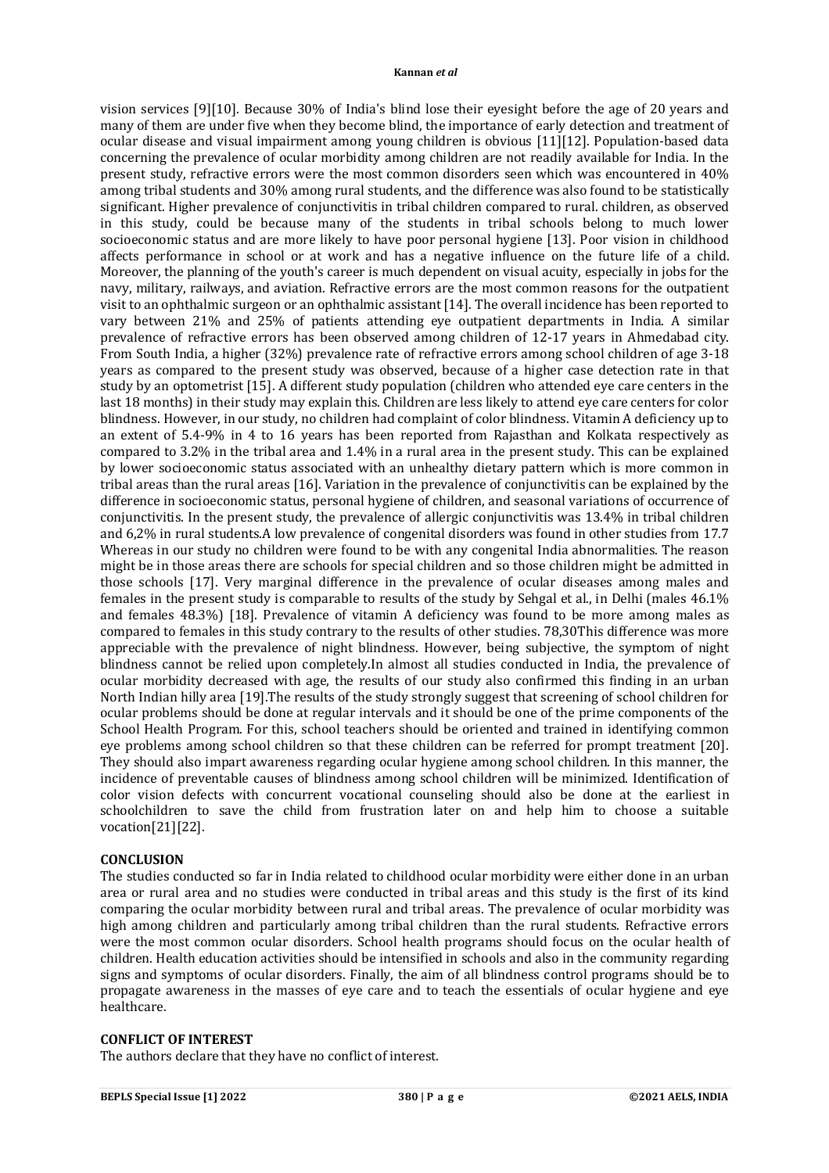vision services [9][10]. Because 30% of India's blind lose their eyesight before the age of 20 years and many of them are under five when they become blind, the importance of early detection and treatment of ocular disease and visual impairment among young children is obvious [11][12]. Population-based data concerning the prevalence of ocular morbidity among children are not readily available for India. In the present study, refractive errors were the most common disorders seen which was encountered in 40% among tribal students and 30% among rural students, and the difference was also found to be statistically significant. Higher prevalence of conjunctivitis in tribal children compared to rural. children, as observed in this study, could be because many of the students in tribal schools belong to much lower socioeconomic status and are more likely to have poor personal hygiene [13]. Poor vision in childhood affects performance in school or at work and has a negative influence on the future life of a child. Moreover, the planning of the youth's career is much dependent on visual acuity, especially in jobs for the navy, military, railways, and aviation. Refractive errors are the most common reasons for the outpatient visit to an ophthalmic surgeon or an ophthalmic assistant [14]. The overall incidence has been reported to vary between 21% and 25% of patients attending eye outpatient departments in India. A similar prevalence of refractive errors has been observed among children of 12-17 years in Ahmedabad city. From South India, a higher (32%) prevalence rate of refractive errors among school children of age 3-18 years as compared to the present study was observed, because of a higher case detection rate in that study by an optometrist [15]. A different study population (children who attended eye care centers in the last 18 months) in their study may explain this. Children are less likely to attend eye care centers for color blindness. However, in our study, no children had complaint of color blindness. Vitamin A deficiency up to an extent of 5.4-9% in 4 to 16 years has been reported from Rajasthan and Kolkata respectively as compared to 3.2% in the tribal area and 1.4% in a rural area in the present study. This can be explained by lower socioeconomic status associated with an unhealthy dietary pattern which is more common in tribal areas than the rural areas [16]. Variation in the prevalence of conjunctivitis can be explained by the difference in socioeconomic status, personal hygiene of children, and seasonal variations of occurrence of conjunctivitis. In the present study, the prevalence of allergic conjunctivitis was 13.4% in tribal children and 6,2% in rural students.A low prevalence of congenital disorders was found in other studies from 17.7 Whereas in our study no children were found to be with any congenital India abnormalities. The reason might be in those areas there are schools for special children and so those children might be admitted in those schools [17]. Very marginal difference in the prevalence of ocular diseases among males and females in the present study is comparable to results of the study by Sehgal et al., in Delhi (males 46.1% and females 48.3%) [18]. Prevalence of vitamin A deficiency was found to be more among males as compared to females in this study contrary to the results of other studies. 78,30This difference was more appreciable with the prevalence of night blindness. However, being subjective, the symptom of night blindness cannot be relied upon completely.In almost all studies conducted in India, the prevalence of ocular morbidity decreased with age, the results of our study also confirmed this finding in an urban North Indian hilly area [19].The results of the study strongly suggest that screening of school children for ocular problems should be done at regular intervals and it should be one of the prime components of the School Health Program. For this, school teachers should be oriented and trained in identifying common eye problems among school children so that these children can be referred for prompt treatment [20]. They should also impart awareness regarding ocular hygiene among school children. In this manner, the incidence of preventable causes of blindness among school children will be minimized. Identification of color vision defects with concurrent vocational counseling should also be done at the earliest in schoolchildren to save the child from frustration later on and help him to choose a suitable vocation[21][22].

### **CONCLUSION**

The studies conducted so far in India related to childhood ocular morbidity were either done in an urban area or rural area and no studies were conducted in tribal areas and this study is the first of its kind comparing the ocular morbidity between rural and tribal areas. The prevalence of ocular morbidity was high among children and particularly among tribal children than the rural students. Refractive errors were the most common ocular disorders. School health programs should focus on the ocular health of children. Health education activities should be intensified in schools and also in the community regarding signs and symptoms of ocular disorders. Finally, the aim of all blindness control programs should be to propagate awareness in the masses of eye care and to teach the essentials of ocular hygiene and eye healthcare.

#### **CONFLICT OF INTEREST**

The authors declare that they have no conflict of interest.